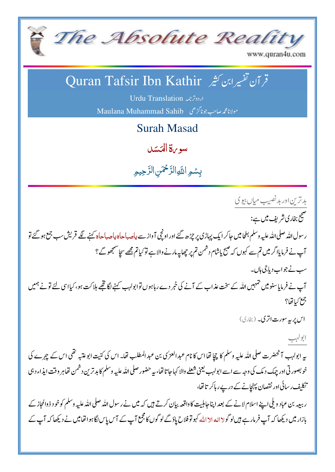

www.quran4u.com

## قر آن تفسيرابن كثير Quran Tafsir Ibn Kathir

اردوترجمه Urdu Translation

Maulana Muhammad Sahib مولانامجمه صاحب جونا گڑھی

**Surah Masad** 

بيبويرة المحسَد

بسُمِ اللَّهِ الرَّحْمَنِ الرَّحِيمِ

بدترين اور بد نصيب مياں بيو ک صحیح بخاری شریف میں ہے: ر سول اللہ صلی اللہ علیہ وسلم بطحامیں حاکر ایک پہاڑی پر چڑھ گئے اور اونچی آ واز سے پاحہباحاsدیاحہباحاs کہنے گئے قریش سب جمع ہو گئے تو آپ نے فرمایااگر میں تم سے کہوں کہ صبح پاشام دشمن تم پر چھاپیہ مارنے والا ہے تو کیاتم مجھے سچاسمجھوگے ؟ سپ نے جواب دیا جی ہاں۔ آپ نے فرمایاسنو میں تہہیں اللہ کے سخت عذاب کے آنے کی خبر دے رہاہوں توابولہب کہنے لگا تھے ہلاکت ہو، کیااسی لئے تونے ہمیں جمع كبائها؟ اس پر به سورت اتری۔ (بخاری) ابولہب پہ ابولہب آنحضرت صلی اللہ علیہ وسلم کا چچا تھا اس کا نام عبد العزل بن عبد المطلب تھا۔ اس کی کنیت ابوعتیہ تھی اس کے چہرے کی خوبصورتی اور چیک دیک کی وجہ سے اسے ابولہب یعنی شعلے والا کہاجاتا تھا، بیہ حضور صلی اللہ علیہ وسلم کا بدترین دشمن تھاہر وقت ایذاء دہی تکلیف رسائی اور نقصان پہنچانے کے درپے رہاکر تاتھا،

ر ببعہ بن عباد ویلی اپنے اسلام لانے کے بعد اپنا جاہلیت کا واقعہ بیان کرتے ہیں کہ میں نے رسول اللہ صلی اللہ علیہ وسلم کوخود ذوالحاز کے بازار میں دیکھا کہ آپ فرمار ہے ہیں لوگولا الہ الا املّٰہ کہولو فلاح یادَ گے لوگوں کا مجمع آپ کے آس پاس لگاہوا تھامیں نے دیکھا کہ آپ کے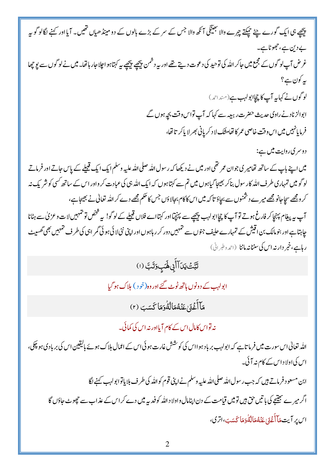| پیچھے ہی ایک گورے چٹے حیکتے چہرے والا تبھینگی آئکھ والا جس کے سر کے بڑے بالوں کے دو مینڈ ھیاں تھیں۔ آیااور کہنے لگالو گو بیہ         |
|--------------------------------------------------------------------------------------------------------------------------------------|
| بے دین ہے، جھوٹا ہے۔                                                                                                                 |
| غرض آپ لوگوں کے مجمع میں جاکر اللہ کی توحید کی دعوت دیتے تھے اور یہ دشمن پیچھپے پیچھپے یہ کہتاہواجار ہاتھا۔ میں نے لوگوں سے پو چھا   |
| ىيەكون ہے؟                                                                                                                           |
| لوگوں نے کہایہ آپ کا چچاابولہب ہے(منداحمہ)                                                                                           |
| ابوالزناد نے راوی حدیث حضرت ربیعہ سے کہا کہ آپ تواس وقت بچہ ہوں گے                                                                   |
| فرمايانهبيں ميں اس وقت خاصى عمر كا نفامشك لا د كر پانى بھر لا ياكر تا نفا،                                                           |
| دوسری روایت میں ہے:                                                                                                                  |
| میں اپنے باپ کے ساتھ تھامیر کی جوان عمر تھی اور میں نے دیکھا کہ رسول اللہ صلی اللہ علیہ وسلم ایک ایک قبیلے کے پاس جاتے اور فرماتے    |
| لوگو میں تمہاری طرف اللہ کار سول بناکر بھیجا گیاہوں میں تم سے کہتاہوں کہ ایک اللہ ہی کی عبادت کر واور اس کے ساتھ کسی کو شریک نہ      |
| کر ومجھے سچاجانو مجھے میرے دشمنوں سے بچاؤ تا کہ میں اس کا کام بجالاؤں جس کا حکم مجھے دے کر اللہ تعالیٰ نے بھیجاہے ،                  |
| آپ ہے پیغام پہنچاکر فارغ ہوتے تو آپ کا چچاابولہب پیچھے سے پہنچیااور کہتااے فلاں قبیلے کے لوگو! یہ فتخص تو تہمہیں لات وعز کی سے ہٹانا |
| چاہتا ہے اور بنو مالک بن اقیش کے تمہارے حلیف جنوں سے تمہمیں دور کر ر ہاہوں اور اپنی نئی لائی ہو ئی گمر اہی کی طرف تمہمیں بھی گھسیٹ   |
| رہاہے،خبر دارنداس کی سننانہ ماننا (احمدوطبرانی)                                                                                      |
| تَبَّتۡ يَدَآأَبِى لَهَبۡ وَتَبَ (١)                                                                                                 |
| ابولہب کے دونوں ہاتھ ٹوٹ گئے اور وہ(خود ) ہلاک ہو گیا                                                                                |
| مَآ أَغۡفَىٰ عَنۡهُمَالۡهُۚوَمَا كَسَبَ (٢)                                                                                          |
| نہ تواس کامال اس کے کام آیااور نہ اس کی کمائی۔                                                                                       |
| اللہ تعالیٰ اس سورت میں فرما تاہے کہ ابولہب بر باد ہوااس کی کوشش غارت ہو ئی اس کے اعمال ہلاک ہوئے بالیقین اس کی بر بادی ہو پچکی،     |
| اس کی اولاد اس کے کام نہ آ ئی۔                                                                                                       |
| ابن مسعود فرماتے ہیں کہ جب رسول اللہ صلی اللہ علیہ وسلم نے اپنی قوم کو اللہ کی طرف بلا یاتوا بولہب کہنے لگا                          |

اگر میرے بھینیح کی با تیں حق ہیں تومیں قیامت کے دن اپنامال واولا د اللہ کو فیدیہ میں دے کر اس کے عذاب سے حجوٹ جاؤں گا اس پر آیت مَآآَٰغۡنَیۡ عَنۡهُمَالۡهُٰٓوَمَاکَسَبَ،اتری،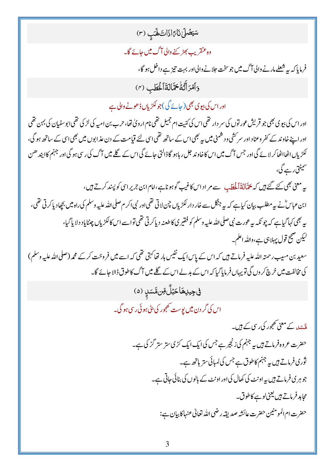سَيَصَٰلَىٰ نَارًاذَاتَ لَهَبِ (٣)

وہ عنقریب بھڑ پنے والی آگ میں جائے گا۔

فرمایا کہ بہ شعلے مارنے والی آگ میں جو سخت حلانے والی اور بہت تیز ہے داخل ہو گا،

وَأَمْرَأَتُهُ حَمَّالَةَأَلْحَطَبِ (٣)

اور اس کی بیوی بھی( جائے گی) جو لکڑیاں ڈھونے والی ہے

اور اس کی بیوی بھی جو قریش عور توں کی سر دار تھی اس کی کنیت ام جمیل تھی نام اروپٰ تھا، حرب بن امیہ کی لڑ کی تھی ابوسفیان کی بہن تھی اور اپنے خاوند کے کفر وعناد اور سرکشی و د شمنی میں ہیے بھی اس کے ساتھ تھی اسی لئے قیامت کے دن عذابوں میں بھی اسی کے ساتھ ہو گی، لکڑیاں اٹھااٹھاکر لائے گی اور جس آگ میں اس کاخاوند جل رہاہو گاڈالتی حائے گی اس کے گلے میں آگ کی رسی ہو گی اور جہنم کاابید ھن سمیٹتی رہے گی،

پہ معنی بھی کئے گئے ہیں کہ پچّالةَ اَلْحَطَبِ سے مر اداس کاغیب گوہو ناہے،امام ابن جریر اسی کو پسند کرتے ہیں، ابن عباسٌّ نے بہ مطلب بیان کیاہے کہ بہ جنگل سے خار دار لکڑیاں چن لاتی تھی اور نبی اکر م صلی اللہ علیہ وسلم کی راہ میں بچھادیا کرتی تھی، په بھی کہاگیاہے کہ چو نکہ بیرعورت نبی صلی اللہ علیہ وسلم کو فقیر کی کاطعنہ دیاکرتی تھی تواسے اس کالکڑیاں چینایاد دلایاگیا، لیکن صحیح قول پہلا ہی ہے،واللہ اعلم۔

سعید بن مسیب رحمتہ اللہ علیہ فرماتے ہیں کہ اس کے پاس ایک نفیس ہار تھا کہتی تھی کہ اسے میں فروخت کرکے محمہ (صلى الله عليه وسلم) کی مخالفت میں خرچ کر وں گی تو یہاں فر مایا گیا کہ اس کے بدلے اس کے گلے میں آگ کاطوق ڈالا جائے گا۔

> في جِيلِهَاحَبُلٌّ مِّن مَّسَلٍ (٥) اس کی گر دن **میں پ**وست تھجور کی بٹی ہو ئی رسی ہو گی۔

> > ہ<br>ملک کے معنی تھجور کی رسی کے <del>ہ</del>یں۔ حضرت عروہ فرماتے ہیں یہ جہنم کی زنجیرہے جس کی ایک ایک کڑی ستر ستر گز کی ہے۔ ثوری فرماتے ہیں ہے جہنم کاطوق ہے جس کی لمبائی ستر ہاتھ ہے۔ جوہری فرماتے ہیں یہ اونٹ کی کھال کی اور اونٹ کے بالوں کی بنائی جاتی ہے۔ محاہد فرماتے ہیں یعنی لوہے کاطوق۔ حضرت ام المومنين حضرت عائشه صديقه رضي الله تعالى عنهاكابيان ہے: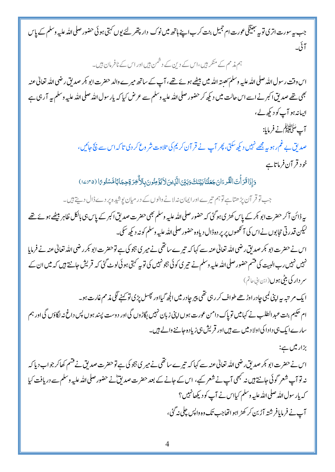ہم مذمم کے منکر ہیں،اس کے دین کے دشمن ہیں اور اس کے نافرمان ہیں۔

اس وقت رسول الله صلى الله عليه وسلم َىعىته الله ميں بیٹھے ہوئے تھے، آپ کے ساتھ میر ے والد حضرت ابو بکر صد لق رضي الله تعالىٰ عنه بھی <u>تھ</u>ے صدیق اکبر نے اسے اس حالت میں دیکھ کر حضور صلی اللہ علیہ وسلم سے عرض کیا کہ پار سول اللہ صلی اللہ علیہ وسلم پہ آر ہی ہے ابسانہ ہو آپ کو دیکھ لے،

آپ سَلَّا اُنْہَنَّکَم نے فرمایا:

صدیق بے غم رہو ہے مجھے نہیں دیکھ سکتی، پھر آپ نے قر آن کر یم کی تلاوت شر وع کر دی تا کہ اس سے نچ جائیں، خود قر آن فرماتاہے

وَإِذَا قَرَأَتَ الْقُرِءَانَ جَعَلْنَا بَيْنَكَ وَبَيْنَ الَّذِينَ لاَ يُؤْمِنُونَ بِالاَّخِرَ وَجِجَابًا مَّسْتُو رًا (٢٠٤٠/٥)

جب تو قر آن پڑھتاہے توہم تیرے اور ایمان نہ لانے والوں کے در میان پوشیدہ پر دے ڈال دیتے ہیں۔

بہ ڈائن آکر حضرت ابو <del>ب</del>کر کے پاس کھڑی ہوگئی کہ حضور صلی اللہ علیہ وسلم بھی حضرت صدیق اکبر کے پاس ہی بالکل ظاہر بیٹھے ہوئے تھے لیکن قدر تی حجابوں نے اس کی آنکھوں پر پر دہڈال دیاوہ حضور صلی اللہ علیہ وسلم کو نہ دیکھ سکی۔

اس نے حضرت ابو کبر صدیق رضی اللہ تعالیٰ عنہ سے کہا کہ تیرے ساتھی نے میر ی ہجو کی ہے توحضرت ابو کبر رضی اللہ تعالیٰ عنہ نے فرمایا نہیں نہیں رب البیت کی قسم حضور صلی اللہ علیہ وسلم نے تیر کی کوئی ہجو نہیں کی توپہ کہتی ہوئی لوٹ گئی کہ قریش جانتے ہیں کہ میں ان کے سر دار کی بٹی ہوں (ابن ابی عاتم)

ا یک مر تبہ ہیہ اپنی کمبی چادر اوڑھے طواف کر رہی تھی پیر چادر میں الجھ گیااور پھسل پڑی تو کہنے لگی مذ مم غارت ہو۔ ام حکیم بنت عبد الطلب نے کہامیں توپاک دامن عورت ہوں اپنی زبان نہیں لِگاڑوں گی اور دوست پسند ہوں پس داغ نہ لگاؤں گی اور ہم سارے ایک ہی دادا کی اولا د میں سے ہیں اور قریش ہی زیادہ جاننے والے ہیں۔

بزار میں ہے:

اس نے حضرت ابو کمر صدیق رضی اللہ تعالیٰ عنہ سے کہا کہ تیرے ساتھی نے میر ی ہجو کی ہے توحضرت صدیق نے قشم کھاکر جواب دیا کہ نہ تو آپ شعر گوئی جانتے ہیں نہ کبھی آپ نے شعر کیے، اس کے جانے کے بعد حضرت صدیقؓ نے حضور صلی اللہ علیہ وسلم سے دریافت کیا کہ پار سول اللہ صلی اللہ علیہ وسلم کیااس نے آپ کو دیکھانہیں؟ آپ نے فرمایافر شتہ آڑ بن کر کھڑ اہواتھاجب تک وہ داپس چلی نہ گئی،